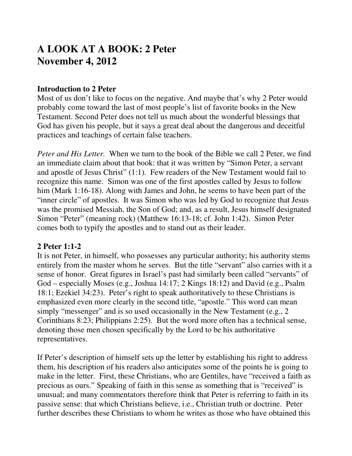# **A LOOK AT A BOOK: 2 Peter November 4, 2012**

### **Introduction to 2 Peter**

Most of us don't like to focus on the negative. And maybe that's why 2 Peter would probably come toward the last of most people's list of favorite books in the New Testament. Second Peter does not tell us much about the wonderful blessings that God has given his people, but it says a great deal about the dangerous and deceitful practices and teachings of certain false teachers.

*Peter and His Letter.* When we turn to the book of the Bible we call 2 Peter, we find an immediate claim about that book: that it was written by "Simon Peter, a servant and apostle of Jesus Christ" (1:1). Few readers of the New Testament would fail to recognize this name. Simon was one of the first apostles called by Jesus to follow him (Mark 1:16-18). Along with James and John, he seems to have been part of the "inner circle" of apostles. It was Simon who was led by God to recognize that Jesus was the promised Messiah, the Son of God; and, as a result, Jesus himself designated Simon "Peter" (meaning rock) (Matthew 16:13-18; cf. John 1:42). Simon Peter comes both to typify the apostles and to stand out as their leader.

### **2 Peter 1:1-2**

It is not Peter, in himself, who possesses any particular authority; his authority stems entirely from the master whom he serves. But the title "servant" also carries with it a sense of honor. Great figures in Israel's past had similarly been called "servants" of God – especially Moses (e.g., Joshua 14:17; 2 Kings 18:12) and David (e.g., Psalm 18:1; Ezekiel 34:23). Peter's right to speak authoritatively to these Christians is emphasized even more clearly in the second title, "apostle." This word can mean simply "messenger" and is so used occasionally in the New Testament (e.g., 2) Corinthians 8:23; Philippians 2:25). But the word more often has a technical sense, denoting those men chosen specifically by the Lord to be his authoritative representatives.

If Peter's description of himself sets up the letter by establishing his right to address them, his description of his readers also anticipates some of the points he is going to make in the letter. First, these Christians, who are Gentiles, have "received a faith as precious as ours." Speaking of faith in this sense as something that is "received" is unusual; and many commentators therefore think that Peter is referring to faith in its passive sense: that which Christians believe, i.e., Christian truth or doctrine. Peter further describes these Christians to whom he writes as those who have obtained this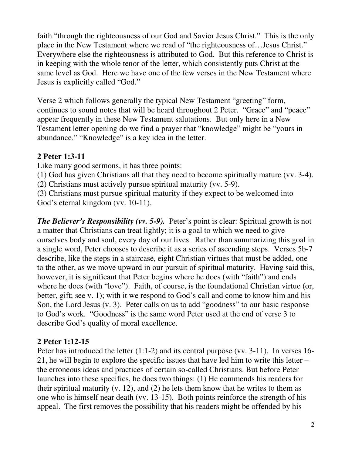faith "through the righteousness of our God and Savior Jesus Christ." This is the only place in the New Testament where we read of "the righteousness of…Jesus Christ." Everywhere else the righteousness is attributed to God. But this reference to Christ is in keeping with the whole tenor of the letter, which consistently puts Christ at the same level as God. Here we have one of the few verses in the New Testament where Jesus is explicitly called "God."

Verse 2 which follows generally the typical New Testament "greeting" form, continues to sound notes that will be heard throughout 2 Peter. "Grace" and "peace" appear frequently in these New Testament salutations. But only here in a New Testament letter opening do we find a prayer that "knowledge" might be "yours in abundance." "Knowledge" is a key idea in the letter.

### **2 Peter 1:3-11**

Like many good sermons, it has three points:

(1) God has given Christians all that they need to become spiritually mature (vv. 3-4).

(2) Christians must actively pursue spiritual maturity (vv. 5-9).

(3) Christians must pursue spiritual maturity if they expect to be welcomed into God's eternal kingdom (vv. 10-11).

*The Believer's Responsibility (vv. 5-9).* Peter's point is clear: Spiritual growth is not a matter that Christians can treat lightly; it is a goal to which we need to give ourselves body and soul, every day of our lives. Rather than summarizing this goal in a single word, Peter chooses to describe it as a series of ascending steps. Verses 5b-7 describe, like the steps in a staircase, eight Christian virtues that must be added, one to the other, as we move upward in our pursuit of spiritual maturity. Having said this, however, it is significant that Peter begins where he does (with "faith") and ends where he does (with "love"). Faith, of course, is the foundational Christian virtue (or, better, gift; see v. 1); with it we respond to God's call and come to know him and his Son, the Lord Jesus (v. 3). Peter calls on us to add "goodness" to our basic response to God's work. "Goodness" is the same word Peter used at the end of verse 3 to describe God's quality of moral excellence.

# **2 Peter 1:12-15**

Peter has introduced the letter (1:1-2) and its central purpose (vv. 3-11). In verses 16- 21, he will begin to explore the specific issues that have led him to write this letter – the erroneous ideas and practices of certain so-called Christians. But before Peter launches into these specifics, he does two things: (1) He commends his readers for their spiritual maturity (v. 12), and (2) he lets them know that he writes to them as one who is himself near death (vv. 13-15). Both points reinforce the strength of his appeal. The first removes the possibility that his readers might be offended by his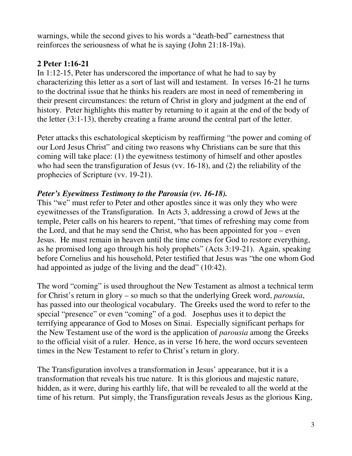warnings, while the second gives to his words a "death-bed" earnestness that reinforces the seriousness of what he is saying (John 21:18-19a).

# **2 Peter 1:16-21**

In 1:12-15, Peter has underscored the importance of what he had to say by characterizing this letter as a sort of last will and testament. In verses 16-21 he turns to the doctrinal issue that he thinks his readers are most in need of remembering in their present circumstances: the return of Christ in glory and judgment at the end of history. Peter highlights this matter by returning to it again at the end of the body of the letter (3:1-13), thereby creating a frame around the central part of the letter.

Peter attacks this eschatological skepticism by reaffirming "the power and coming of our Lord Jesus Christ" and citing two reasons why Christians can be sure that this coming will take place: (1) the eyewitness testimony of himself and other apostles who had seen the transfiguration of Jesus (vv. 16-18), and (2) the reliability of the prophecies of Scripture (vv. 19-21).

### *Peter's Eyewitness Testimony to the Parousia (vv. 16-18).*

This "we" must refer to Peter and other apostles since it was only they who were eyewitnesses of the Transfiguration. In Acts 3, addressing a crowd of Jews at the temple, Peter calls on his hearers to repent, "that times of refreshing may come from the Lord, and that he may send the Christ, who has been appointed for you – even Jesus. He must remain in heaven until the time comes for God to restore everything, as he promised long ago through his holy prophets" (Acts 3:19-21). Again, speaking before Cornelius and his household, Peter testified that Jesus was "the one whom God had appointed as judge of the living and the dead" (10:42).

The word "coming" is used throughout the New Testament as almost a technical term for Christ's return in glory – so much so that the underlying Greek word, *parousia*, has passed into our theological vocabulary. The Greeks used the word to refer to the special "presence" or even "coming" of a god. Josephus uses it to depict the terrifying appearance of God to Moses on Sinai. Especially significant perhaps for the New Testament use of the word is the application of *parousia* among the Greeks to the official visit of a ruler. Hence, as in verse 16 here, the word occurs seventeen times in the New Testament to refer to Christ's return in glory.

The Transfiguration involves a transformation in Jesus' appearance, but it is a transformation that reveals his true nature. It is this glorious and majestic nature, hidden, as it were, during his earthly life, that will be revealed to all the world at the time of his return. Put simply, the Transfiguration reveals Jesus as the glorious King,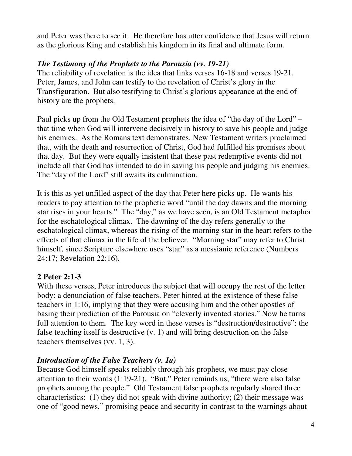and Peter was there to see it. He therefore has utter confidence that Jesus will return as the glorious King and establish his kingdom in its final and ultimate form.

# *The Testimony of the Prophets to the Parousia (vv. 19-21)*

The reliability of revelation is the idea that links verses 16-18 and verses 19-21. Peter, James, and John can testify to the revelation of Christ's glory in the Transfiguration. But also testifying to Christ's glorious appearance at the end of history are the prophets.

Paul picks up from the Old Testament prophets the idea of "the day of the Lord" – that time when God will intervene decisively in history to save his people and judge his enemies. As the Romans text demonstrates, New Testament writers proclaimed that, with the death and resurrection of Christ, God had fulfilled his promises about that day. But they were equally insistent that these past redemptive events did not include all that God has intended to do in saving his people and judging his enemies. The "day of the Lord" still awaits its culmination.

It is this as yet unfilled aspect of the day that Peter here picks up. He wants his readers to pay attention to the prophetic word "until the day dawns and the morning star rises in your hearts." The "day," as we have seen, is an Old Testament metaphor for the eschatological climax. The dawning of the day refers generally to the eschatological climax, whereas the rising of the morning star in the heart refers to the effects of that climax in the life of the believer. "Morning star" may refer to Christ himself, since Scripture elsewhere uses "star" as a messianic reference (Numbers 24:17; Revelation 22:16).

# **2 Peter 2:1-3**

With these verses, Peter introduces the subject that will occupy the rest of the letter body: a denunciation of false teachers. Peter hinted at the existence of these false teachers in 1:16, implying that they were accusing him and the other apostles of basing their prediction of the Parousia on "cleverly invented stories." Now he turns full attention to them. The key word in these verses is "destruction/destructive": the false teaching itself is destructive (v. 1) and will bring destruction on the false teachers themselves (vv. 1, 3).

# *Introduction of the False Teachers (v. 1a)*

Because God himself speaks reliably through his prophets, we must pay close attention to their words (1:19-21). "But," Peter reminds us, "there were also false prophets among the people." Old Testament false prophets regularly shared three characteristics: (1) they did not speak with divine authority; (2) their message was one of "good news," promising peace and security in contrast to the warnings about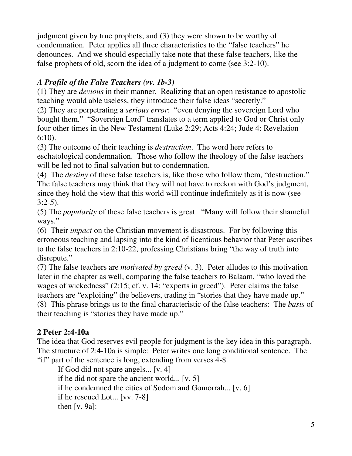judgment given by true prophets; and (3) they were shown to be worthy of condemnation. Peter applies all three characteristics to the "false teachers" he denounces. And we should especially take note that these false teachers, like the false prophets of old, scorn the idea of a judgment to come (see 3:2-10).

# *A Profile of the False Teachers (vv. 1b-3)*

(1) They are *devious* in their manner. Realizing that an open resistance to apostolic teaching would able useless, they introduce their false ideas "secretly."

(2) They are perpetrating a *serious error*: "even denying the sovereign Lord who bought them." "Sovereign Lord" translates to a term applied to God or Christ only four other times in the New Testament (Luke 2:29; Acts 4:24; Jude 4: Revelation 6:10).

(3) The outcome of their teaching is *destruction*. The word here refers to eschatological condemnation. Those who follow the theology of the false teachers will be led not to final salvation but to condemnation.

(4) The *destiny* of these false teachers is, like those who follow them, "destruction." The false teachers may think that they will not have to reckon with God's judgment, since they hold the view that this world will continue indefinitely as it is now (see  $3:2-5$ ).

(5) The *popularity* of these false teachers is great. "Many will follow their shameful ways."

(6) Their *impact* on the Christian movement is disastrous. For by following this erroneous teaching and lapsing into the kind of licentious behavior that Peter ascribes to the false teachers in 2:10-22, professing Christians bring "the way of truth into disrepute."

(7) The false teachers are *motivated by greed* (v. 3). Peter alludes to this motivation later in the chapter as well, comparing the false teachers to Balaam, "who loved the wages of wickedness" (2:15; cf. v. 14: "experts in greed"). Peter claims the false teachers are "exploiting" the believers, trading in "stories that they have made up." (8) This phrase brings us to the final characteristic of the false teachers: The *basis* of their teaching is "stories they have made up."

# **2 Peter 2:4-10a**

The idea that God reserves evil people for judgment is the key idea in this paragraph. The structure of 2:4-10a is simple: Peter writes one long conditional sentence. The "if" part of the sentence is long, extending from verses 4-8.

 If God did not spare angels... [v. 4] if he did not spare the ancient world... [v. 5] if he condemned the cities of Sodom and Gomorrah... [v. 6] if he rescued Lot... [vv. 7-8] then [v. 9a]: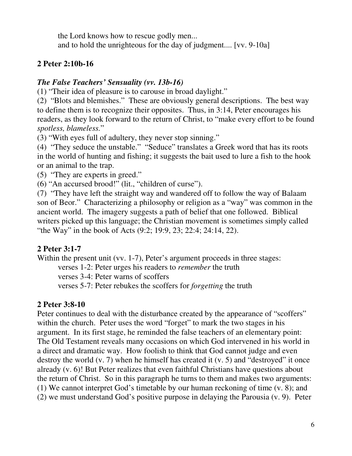the Lord knows how to rescue godly men... and to hold the unrighteous for the day of judgment.... [vv. 9-10a]

### **2 Peter 2:10b-16**

#### *The False Teachers' Sensuality (vv. 13b-16)*

(1) "Their idea of pleasure is to carouse in broad daylight."

(2) "Blots and blemishes." These are obviously general descriptions. The best way to define them is to recognize their opposites. Thus, in 3:14, Peter encourages his readers, as they look forward to the return of Christ, to "make every effort to be found *spotless, blameless.*"

(3) "With eyes full of adultery, they never stop sinning."

(4) "They seduce the unstable." "Seduce" translates a Greek word that has its roots in the world of hunting and fishing; it suggests the bait used to lure a fish to the hook or an animal to the trap.

(5) "They are experts in greed."

(6) "An accursed brood!" (lit., "children of curse").

(7) "They have left the straight way and wandered off to follow the way of Balaam son of Beor." Characterizing a philosophy or religion as a "way" was common in the ancient world. The imagery suggests a path of belief that one followed. Biblical writers picked up this language; the Christian movement is sometimes simply called "the Way" in the book of Acts (9:2; 19:9, 23; 22:4; 24:14, 22).

### **2 Peter 3:1-7**

Within the present unit (vv. 1-7), Peter's argument proceeds in three stages:

verses 1-2: Peter urges his readers to *remember* the truth

verses 3-4: Peter warns of scoffers

verses 5-7: Peter rebukes the scoffers for *forgetting* the truth

### **2 Peter 3:8-10**

Peter continues to deal with the disturbance created by the appearance of "scoffers" within the church. Peter uses the word "forget" to mark the two stages in his argument. In its first stage, he reminded the false teachers of an elementary point: The Old Testament reveals many occasions on which God intervened in his world in a direct and dramatic way. How foolish to think that God cannot judge and even destroy the world (v. 7) when he himself has created it (v. 5) and "destroyed" it once already (v. 6)! But Peter realizes that even faithful Christians have questions about the return of Christ. So in this paragraph he turns to them and makes two arguments: (1) We cannot interpret God's timetable by our human reckoning of time (v. 8); and (2) we must understand God's positive purpose in delaying the Parousia (v. 9). Peter